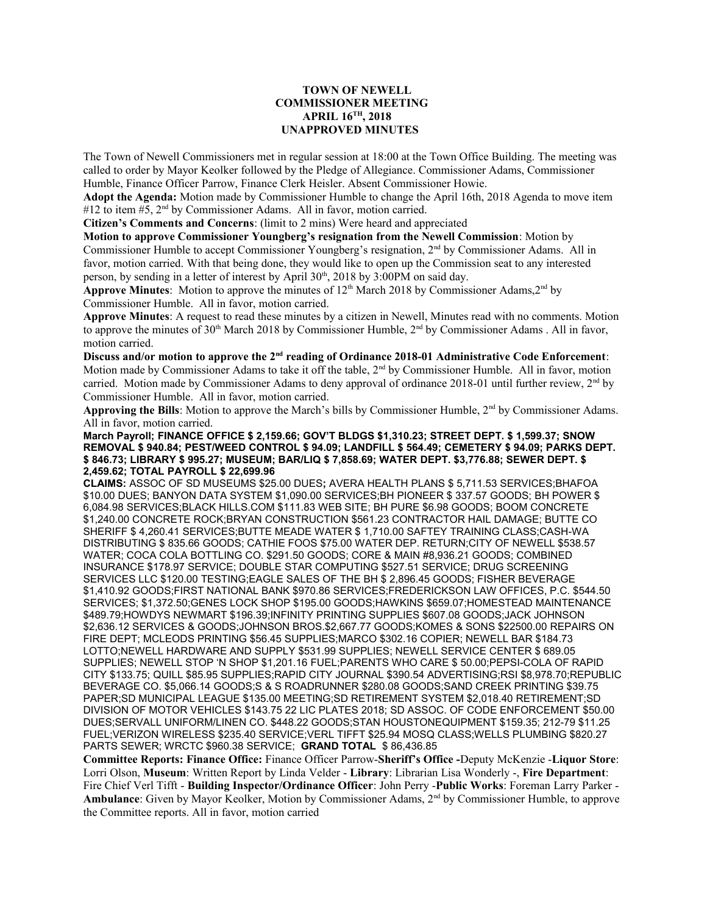## **TOWN OF NEWELL COMMISSIONER MEETING APRIL 16TH, 2018 UNAPPROVED MINUTES**

The Town of Newell Commissioners met in regular session at 18:00 at the Town Office Building. The meeting was called to order by Mayor Keolker followed by the Pledge of Allegiance. Commissioner Adams, Commissioner Humble, Finance Officer Parrow, Finance Clerk Heisler. Absent Commissioner Howie.

**Adopt the Agenda:** Motion made by Commissioner Humble to change the April 16th, 2018 Agenda to move item #12 to item #5, 2<sup>nd</sup> by Commissioner Adams. All in favor, motion carried.

**Citizen's Comments and Concerns**: (limit to 2 mins) Were heard and appreciated

**Motion to approve Commissioner Youngberg's resignation from the Newell Commission**: Motion by Commissioner Humble to accept Commissioner Youngberg's resignation, 2nd by Commissioner Adams. All in favor, motion carried. With that being done, they would like to open up the Commission seat to any interested person, by sending in a letter of interest by April  $30<sup>th</sup>$ ,  $2018$  by  $3:00PM$  on said day.

**Approve Minutes**: Motion to approve the minutes of  $12<sup>th</sup>$  March 2018 by Commissioner Adams,  $2<sup>nd</sup>$  by Commissioner Humble. All in favor, motion carried.

**Approve Minutes**: A request to read these minutes by a citizen in Newell, Minutes read with no comments. Motion to approve the minutes of 30<sup>th</sup> March 2018 by Commissioner Humble, 2<sup>nd</sup> by Commissioner Adams . All in favor, motion carried.

**Discuss and/or motion to approve the 2nd reading of Ordinance 2018-01 Administrative Code Enforcement**: Motion made by Commissioner Adams to take it off the table, 2<sup>nd</sup> by Commissioner Humble. All in favor, motion carried. Motion made by Commissioner Adams to deny approval of ordinance 2018-01 until further review, 2nd by Commissioner Humble. All in favor, motion carried.

**Approving the Bills**: Motion to approve the March's bills by Commissioner Humble, 2nd by Commissioner Adams. All in favor, motion carried.

**March Payroll; FINANCE OFFICE \$ 2,159.66; GOV'T BLDGS \$1,310.23; STREET DEPT. \$ 1,599.37; SNOW REMOVAL \$ 940.84; PEST/WEED CONTROL \$ 94.09; LANDFILL \$ 564.49; CEMETERY \$ 94.09; PARKS DEPT. \$ 846.73; LIBRARY \$ 995.27; MUSEUM; BAR/LIQ \$ 7,858.69; WATER DEPT. \$3,776.88; SEWER DEPT. \$ 2,459.62; TOTAL PAYROLL \$ 22,699.96**

**CLAIMS:** ASSOC OF SD MUSEUMS \$25.00 DUES**;** AVERA HEALTH PLANS \$ 5,711.53 SERVICES;BHAFOA \$10.00 DUES; BANYON DATA SYSTEM \$1,090.00 SERVICES;BH PIONEER \$ 337.57 GOODS; BH POWER \$ 6,084.98 SERVICES;BLACK HILLS.COM \$111.83 WEB SITE; BH PURE \$6.98 GOODS; BOOM CONCRETE \$1,240.00 CONCRETE ROCK;BRYAN CONSTRUCTION \$561.23 CONTRACTOR HAIL DAMAGE; BUTTE CO SHERIFF \$ 4,260.41 SERVICES;BUTTE MEADE WATER \$ 1,710.00 SAFTEY TRAINING CLASS;CASH-WA DISTRIBUTING \$ 835.66 GOODS; CATHIE FOOS \$75.00 WATER DEP. RETURN;CITY OF NEWELL \$538.57 WATER; COCA COLA BOTTLING CO. \$291.50 GOODS; CORE & MAIN #8,936.21 GOODS; COMBINED INSURANCE \$178.97 SERVICE; DOUBLE STAR COMPUTING \$527.51 SERVICE; DRUG SCREENING SERVICES LLC \$120.00 TESTING;EAGLE SALES OF THE BH \$ 2,896.45 GOODS; FISHER BEVERAGE \$1,410.92 GOODS;FIRST NATIONAL BANK \$970.86 SERVICES;FREDERICKSON LAW OFFICES, P.C. \$544.50 SERVICES; \$1,372.50;GENES LOCK SHOP \$195.00 GOODS;HAWKINS \$659.07;HOMESTEAD MAINTENANCE \$489.79;HOWDYS NEWMART \$196.39;INFINITY PRINTING SUPPLIES \$607.08 GOODS;JACK JOHNSON \$2,636.12 SERVICES & GOODS;JOHNSON BROS.\$2,667.77 GOODS;KOMES & SONS \$22500.00 REPAIRS ON FIRE DEPT; MCLEODS PRINTING \$56.45 SUPPLIES;MARCO \$302.16 COPIER; NEWELL BAR \$184.73 LOTTO;NEWELL HARDWARE AND SUPPLY \$531.99 SUPPLIES; NEWELL SERVICE CENTER \$ 689.05 SUPPLIES; NEWELL STOP 'N SHOP \$1,201.16 FUEL;PARENTS WHO CARE \$ 50.00;PEPSI-COLA OF RAPID CITY \$133.75; QUILL \$85.95 SUPPLIES;RAPID CITY JOURNAL \$390.54 ADVERTISING;RSI \$8,978.70;REPUBLIC BEVERAGE CO. \$5,066.14 GOODS;S & S ROADRUNNER \$280.08 GOODS;SAND CREEK PRINTING \$39.75 PAPER;SD MUNICIPAL LEAGUE \$135.00 MEETING;SD RETIREMENT SYSTEM \$2,018.40 RETIREMENT;SD DIVISION OF MOTOR VEHICLES \$143.75 22 LIC PLATES 2018; SD ASSOC. OF CODE ENFORCEMENT \$50.00 DUES;SERVALL UNIFORM/LINEN CO. \$448.22 GOODS;STAN HOUSTONEQUIPMENT \$159.35; 212-79 \$11.25 FUEL;VERIZON WIRELESS \$235.40 SERVICE;VERL TIFFT \$25.94 MOSQ CLASS;WELLS PLUMBING \$820.27 PARTS SEWER; WRCTC \$960.38 SERVICE; **GRAND TOTAL** \$ 86,436.85

**Committee Reports: Finance Office:** Finance Officer Parrow-**Sheriff's Office -**Deputy McKenzie -**Liquor Store**: Lorri Olson, **Museum**: Written Report by Linda Velder - **Library**: Librarian Lisa Wonderly -, **Fire Department**: Fire Chief Verl Tifft - **Building Inspector/Ordinance Officer**: John Perry -**Public Works**: Foreman Larry Parker - Ambulance: Given by Mayor Keolker, Motion by Commissioner Adams, 2<sup>nd</sup> by Commissioner Humble, to approve the Committee reports. All in favor, motion carried